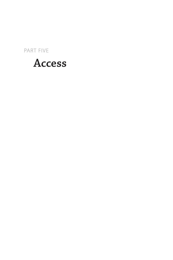Part Five

# **Access**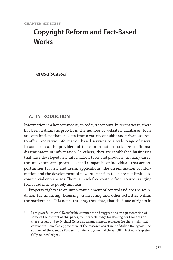## **Copyright Reform and Fact-Based Works**

**Teresa Scassa**\*

#### **A. INTRODUCTION**

Information is a hot commodity in today's economy. In recent years, there has been a dramatic growth in the number of websites, databases, tools and applications that use data from a variety of public and private sources to offer innovative information-based services to a wide range of users. In some cases, the providers of these information tools are traditional disseminators of information. In others, they are established businesses that have developed new information tools and products. In many cases, the innovators are upstarts—small companies or individuals that see opportunities for new and useful applications. The dissemination of information and the development of new information tools are not limited to commercial enterprises. There is much free content from sources ranging from academic to purely amateur.

Property rights are an important element of control and are the foundation for financing, licensing, transacting and other activities within the marketplace. It is not surprising, therefore, that the issue of rights in

I am grateful to Ariel Katz for his comments and suggestions on a presentation of some of the content of this paper, to Elizabeth Judge for sharing her thoughts on these issues, and to Michael Geist and an anonymous reviewer for their insightful comments. I am also appreciative of the research assistance of Julien Bourgeois. The support of the Canada Research Chairs Program and the GEOIDE Network is gratefully acknowledged.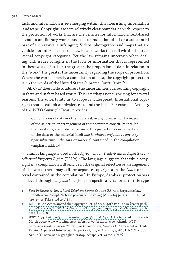facts and information is re-emerging within this flourishing information landscape. Copyright law sets relatively clear boundaries with respect to the protection of works that are the vehicles for information. Text-based accounts are literary works, and the reproduction of all or a substantial part of such works is infringing. Videos, photographs and maps that are vehicles for information are likewise also works that fall within the traditional copyright categories. Yet the law remains uncertain when dealing with issues of rights in the facts or information that is represented in these works. Further, the greater the proportion of data in relation to the "work," the greater the uncertainty regarding the scope of protection. Where the work is merely a compilation of data, the copyright protection is, in the words of the United States Supreme Court, "thin."1

Bill C-32<sup>2</sup> does little to address the uncertainties surrounding copyright in facts and in fact-based works. This is perhaps not surprising for several reasons. The uncertainty as to scope is widespread. International copyright treaties exhibit ambivalence around the issue. For example, Article 5 of the *WIPO Copyright Treaty* provides:

Compilations of data or other material, in any form, which by reason of the selection or arrangement of their contents constitute intellectual creations, are protected as such. This protection does not extend to the data or the material itself *and is without prejudice to any copyright subsisting in the data* or material contained in the compilation (emphasis added).3

Similar language is used in the *Agreement on Trade-Related Aspects of Intellectual Property Rights* (TRIPs).4 The language suggests that while copyright in a compilation will only be in the original selection or arrangement of the work, there may still be separate copyrights in the "*data* or material contained in the compilation." In Europe, database protection was achieved through *sui generis* legislation specifically tailored to this type

<sup>1</sup> *Feist Publications, Inc. v. Rural Telephone Service Co*., 499 U.S. 340, [http://caselaw.](http://caselaw.lp.findlaw.com/scripts/getcase.pl?court=US&vol=499&invol=340) [lp.findlaw.com/scripts/getcase.pl?court=US&vol=499&invol=340](http://caselaw.lp.findlaw.com/scripts/getcase.pl?court=US&vol=499&invol=340), 111 S.Ct. 1282 at 349 (1991) [*Feist* cited to U.S.] .

<sup>2</sup> Bill C-32, An Act to amend the Copyright Act, 3d Sess., 40th Parl., 2010, [www2.parl.](http://www2.parl.gc.ca/Sites/LOP/LEGISINFO/index.asp?Language=E&query=7026&Session=23&List=toc) [gc.ca/Sites/LOP/LEGISINFO/index.asp?Language=E&query=7026&Session=23&List](http://www2.parl.gc.ca/Sites/LOP/LEGISINFO/index.asp?Language=E&query=7026&Session=23&List=toc)  $=$ toc [Bill C-32].

<sup>3</sup> *WIPO Copyright Treaty*, 20 December 1996, 36 I.L.M. 65 at Art. 5 (entered into force 6 March 2002), [www.wipo.int/treaties/en/ip/wct/trtdocs\\_wo033.html,](http://www.wipo.int/treaties/en/ip/wct/trtdocs_wo033.html) [WCT].

<sup>4</sup> *Agreement Establishing the World Trade Organization*, Annex 1 C: Agreement on Trade-Related Aspects of Intellectual Property Rights, 15 April 1994, 1869 U.N.T.S. 299 at Art. 10(2), [www.wto.org/english/tratop\\_e/trips\\_e/t\\_agm0\\_e.htm.](http://www.wto.org/english/tratop_e/trips_e/t_agm0_e.htm)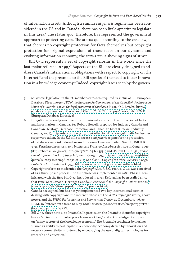of information asset.<sup>5</sup> Although a similar sui generis regime has been considered in the US and in Canada, there has been little appetite to legislate in this area.<sup>6</sup> The status quo, therefore, has represented the government approach to protecting data. The status quo, according to the case law, is that there is no copyright protection for facts themselves but copyright protection for original expressions of those facts. In our dynamic and evolving information economy, the *status quo* is showing signs of strain.

Bill C-32 represents a set of copyright reforms in the works since the last major reforms in 1997.<sup>7</sup> Aspects of the Bill are clearly designed to address Canada's international obligations with respect to copyright on the internet, $^{\rm 8}$  and the preamble to the Bill speaks of the need to foster innovation in a knowledge economy.<sup>9</sup> Indeed, copyright law is seen by the govern-

<sup>5</sup> *Sui generis* legislation in the EU member states was required by virtue of EC, European Database Directive *96/9/EC of the European Parliament and of the Council of the European Union of 11 March 1996 on the legal protection of databases*, [1996] O.J. L 77/20, [http://](http://eur-lex.europa.eu/LexUriServ/LexUriServ.do?uri=CELEX:31996L0009:EN:HTML) [eur-lex.europa.eu/LexUriServ/LexUriServ.do?uri=CELEX:31996L0009:EN:HTML](http://eur-lex.europa.eu/LexUriServ/LexUriServ.do?uri=CELEX:31996L0009:EN:HTML) [European Database Directive].

<sup>6</sup> In 1998, the federal government commissioned a study on the protection of facts and information in Canada. See Robert Howell, prepared for Industry Canada and Canadian Heritage, Database Protection and Canadian Laws (Ottawa: Industry Canada, 1998), [http://dsp-psd.pwgsc.gc.ca/Collection/C2-370-1998E.pdf.](http://dsp-psd.pwgsc.gc.ca/Collection/C2-370-1998E.pdf) No further steps were taken. In the US bills to create a *sui generis* regime for the protection of databases were introduced around the same time, and failed. See: US, Bill H.R. 3531, *Database Investment and Intellectual Property Antipiracy Act*, 104th Cong., 1996, [http://thomas.loc.gov/cgi-bin/query/z?c104:h.r.3531:.](http://thomas.loc.gov/cgi-bin/query/z?c104:h.r.3531:)and US, Bill H.R. 2652 , *Collection of Information Antipiracy Act*, 105th Cong., 1997, [http://thomas.loc.gov/cgi-bin/](http://thomas.loc.gov/cgi-bin/query/D?c105:2:./temp/~c105oUfJy1::) [query/D?c105:2:./temp/~c105oUfJy1::](http://thomas.loc.gov/cgi-bin/query/D?c105:2:./temp/~c105oUfJy1::). See also U. Copyright Office, *Report on Legal Protection for Databases* (1997),<http://www.copyright.gov/reports/dbase.html>.

<sup>7</sup> Copyright reform to modernize the *Copyright Act*, R.S.C. 1985, c. C-42, was conceived of as a three-phase process. The first phase was implemented in 1988. Phase II was initiated with the first Bill C-32, introduced in 1997. Reform has been stalled since that time. See: Canada, Heritage Canada, *A Framework for Copyright Reform* (2002), [/](http://www.ic.gc.ca/eic/site/crp-prda.nsf/eng/rp01101.html) [www.ic.gc.ca/eic/site/crp-prda.nsf/eng/rp01101.html.](http://www.ic.gc.ca/eic/site/crp-prda.nsf/eng/rp01101.html)

<sup>8</sup> Canada has signed, but has not yet implemented two key international treaties dealing with copyright and the internet. These are the *WIPO Copyright Treaty*, above note 3, and the *WIPO Performances and Phonograms Treaty*, 20 December 1996, 36 I.L.M. 76 (entered into force 20 May 2002), [www.wipo.int/treaties/en/ip/wppt/trt](http://www.wipo.int/treaties/en/ip/wppt/trtdocs_wo034.html)[docs\\_wo034.html](http://www.wipo.int/treaties/en/ip/wppt/trtdocs_wo034.html) [WPPT].

<sup>9</sup> Bill C-32, above note 2, at Preamble. In particular, the Preamble identifies copyright law as "an important marketplace framework law," and acknowledges its impact on "many sectors of the knowledge economy." The Preamble concludes by noting: "Canada's ability to participate in a knowledge economy driven by innovation and network connectivity is fostered by encouraging the use of digital technologies for research and education."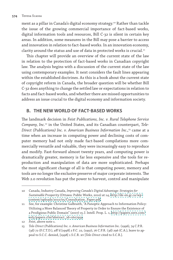ment as a pillar in Canada's digital economy strategy.10 Rather than tackle the issue of the growing commercial importance of fact-based works, digital information tools and resources, Bill C-32 is silent in certain key areas. In addition, some measures in the Bill may pose a barrier to access and innovation in relation to fact-based works. In an innovation economy, clarity around the status and use of data in protected works is crucial.<sup>11</sup>

This chapter will provide an overview of the current state of the law in relation to the protection of fact-based works in Canadian copyright law. The analysis begins with a discussion of the current state of the law using contemporary examples. It next considers the fault lines appearing within the established doctrines. As this is a book about the current state of copyright reform in Canada, the broader question will be whether Bill C-32 does anything to change the settled law or expectations in relation to facts and fact-based works, and whether there are missed opportunities to address an issue crucial to the digital economy and information society.

#### **B. THE NEW WORLD OF FACT-BASED WORKS**

The landmark decision in *Feist Publications, Inc. v. Rural Telephone Service Company, Inc*. 12 in the United States, and its Canadian counterpart, *Tele-Direct (Publications) Inc. v. American Business Information Inc.*,<sup>13</sup> came at a time when an increase in computing power and declining costs of computer memory had not only made fact-based compilations more commercially versatile and valuable, they were increasingly easy to reproduce and modify. Fast-forward almost twenty years, and computing power is dramatically greater, memory is far less expensive and the tools for reproduction and manipulation of data are more sophisticated. Perhaps the most significant change of all is that computing power, memory and tools are no longer the exclusive preserve of major corporate interests. The Web 2.0 revolution has put the power to harvest, control and manipulate

<sup>10</sup> Canada, Industry Canada, *Improving Canada's Digital Advantage: Strategies for Sustainable Prosperity* (Ottawa: Public Works, 2010) at 14, [http://de-en.gc.ca/wp](http://de-en.gc.ca/wp-content/uploads/2010/05/Consultation_Paper.pdf)[content/uploads/2010/05/Consultation\\_Paper.pdf.](http://de-en.gc.ca/wp-content/uploads/2010/05/Consultation_Paper.pdf)

<sup>11</sup> See, for example: Christine Galbraith, "A Panoptic Approach to Information Policy: Utilizing a More Balanced Theory of Property in Order to Ensure the Existence of a Prodigious Public Domain" (2007) 15 J. Intell. Prop. L. 1, [http://papers.ssrn.com/](http://papers.ssrn.com/sol3/papers.cfm?abstract_id=1607959) [sol3/papers.cfm?abstract\\_id=1607959](http://papers.ssrn.com/sol3/papers.cfm?abstract_id=1607959).

<sup>12</sup> *Feist*, above note 1.

<sup>13</sup> *Tele-Direct (Publications) Inc. v. American Business Information Inc*. (1996), 74 C.P.R. (3d) 72 (F.C.T.D.), aff'd [1998] 2 F.C. 22, (1997), 76 C.P.R. (3d) 296 (C.A.), leave to appeal to S.C.C. denied, [1998] 1 S.C.R. xv [*Tele-Direct* cited to S.C.R.].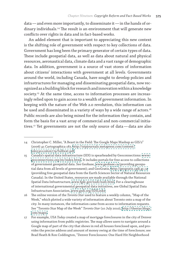data—and even more importantly, to disseminate it—in the hands of ordinary individuals.<sup>14</sup> The result is an environment that will generate new conflicts over rights in data and in fact-based works.

An added element that is important to appreciating this new context is the shifting role of government with respect to key collections of data. Government has long been the primary generator of certain types of data. These include geospatial data, as well as data about natural and physical resources, aeronautical data, climate data and a vast range of demographic data. In addition, government is a source of vast stores of information about citizens' interactions with government at all levels. Governments around the world, including Canada, have sought to develop policies and infrastructures for managing and disseminating geospatial data, now recognized as a building block for research and innovation within a knowledge society.<sup>15</sup> At the same time, access to information processes are increasingly relied upon to gain access to a wealth of government information. In keeping with the nature of the Web 2.0 revolution, this information can be used and disseminated in a variety of ways by a wide range of actors.<sup>16</sup> Public records are also being mined for the information they contain, and form the basis for a vast array of commercial and non-commercial initiatives.<sup>17</sup> Yet governments are not the only source of data — data are also

<sup>14</sup> Christopher C. Miller, "A Beast in the Field: The Google Maps Mashup as GIS/2" (2006) 41 Cartographica 187, [http://utpjournals.metapress.com/content/](http://utpjournals.metapress.com/content/j0l053012262n779/fulltext.pdf) [j0l053012262n779/fulltext.pdf](http://utpjournals.metapress.com/content/j0l053012262n779/fulltext.pdf).

<sup>15</sup> Canada's spatial data infrastructure (SDI) is spearheaded by Geoconnections: [www.](http://www.geoconnections.org/en/index.html) [geoconnections.org/en/index.html.](http://www.geoconnections.org/en/index.html) It includes portals for free access to collections of government geospatial data. See Geobase, [www.geobase.ca](http://www.geobase.ca/) (providing geospatial data from all levels of government); and GeoGratis, [http://geogratis.cgdi.gc.ca](http://geogratis.cgdi.gc.ca/) (providing free geospatial data from the Earth Sciences Sector of Natural Resources Canada). In the United States, resources are made available through the National Spatial Data Infrastructure, [www.fgdc.gov/nsdi/nsdi.html.](http://www.fgdc.gov/nsdi/nsdi.html) For a clearinghouse of international governmental geospatial data initiatives, see Global Spatial Data Infrastructure Association, [www.gsdi.org/SDILinks.](http://www.gsdi.org/SDILinks)

<sup>16</sup> The online version of the *Toronto Star* used to feature a weekly column, "Map of the Week," which plotted a wide variety of information about Toronto onto a map of the city. In many instances, the information came from access to information requests. See "Toronto Star Map of the Week" *Toronto Star* (10 July 2010), [http://thestar.blogs.](http://thestar.blogs.com/maps/) [com/maps/.](http://thestar.blogs.com/maps/)

<sup>17</sup> For example, *USA Today* created a map of mortgage foreclosures in the city of Denver using information from public registries. The map allows users to navigate around a Google map of part of the city that shows in red all houses foreclosed upon, and provides the precise address and amount of money owing at the time of foreclosure; see Brad Heath & Ron Coddington, "Denver Foreclosures: One Hard Hit Neighborhood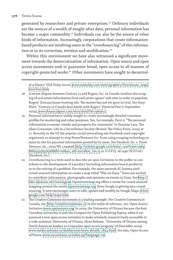#### **576** Teresa Scassa

generated by researchers and private enterprises.<sup>18</sup> Ordinary individuals are the sources of a wealth of sought-after data; personal information has become a major commodity.19 Individuals can also be the source of other kinds of information. Increasingly, corporations that create informationbased products are involving users in the "crowdsourcing" of this information or in its correction, revision and modification.<sup>20</sup>

Within this environment we have also witnessed a significant movement towards the democratization of information. Open source and open access movements seek to guarantee broad, open access to all manner of copyright-protected works.<sup>21</sup> Other movements have sought to decentral-

at a Glance" *USA Today* (2010), [www.usatoday.com/news/graphics/foreclosure\\_map/](http://www.usatoday.com/news/graphics/foreclosure_map/foreclose.htm) [foreclose.htm](http://www.usatoday.com/news/graphics/foreclosure_map/foreclose.htm).

- 18 A recent dispute between Century 21 and Rogers, Inc. in Canada involves the scraping of real estate information from real estate agents' web sites in order to populate Rogers' Zoocasa house hunting site. The matter has not yet gone to trial. See Gary Marr, "Century 21 Canada does battle with Rogers" *Financial Post* (7 September 2009), [www.financialpost.com/story.html?id=1969611](http://www.financialpost.com/story.html?id=1969611).
- 19 Personal information is widely sought to create increasingly detailed consumer profiles for marketing and other purposes. See, for example, Perri 6, "The personal information economy: trends and prospects for consumers" in Susanne Lace, The Glass Consumer: Life in a Surveillance Society (Bristol: The Policy Press, 2005) at 17. Recently in the US the popular social networking site Facebook used copyright arguments to attempt to stop PowerVentures Inc. from using scraping technology to mine its site for personal information posted by its users. See *Facebook, Inc. v. Power Ventures, Inc*., 2009 WL 1299698, [http://scholar.google.ca/scholar\\_case?case=1964](http://scholar.google.ca/scholar_case?case=1964888935558356568&hl=en&as_sdt=2002&as_vis=1) [888935558356568&hl=en&as\\_sdt=2002&as\\_vis=1,](http://scholar.google.ca/scholar_case?case=1964888935558356568&hl=en&as_sdt=2002&as_vis=1) 91 U.S.P.Q. 2d 1430 (N.D.Cal.) [*Facebook, Inc.*].
- 20 Crowdsourcing is a term used to describe an open invitation to the public to contribute to the development of a product (including information based-products) or to the solving of a problem. For example, the news network Al Jazeera used crowd-sourced information to create a map titled "War on Gaza." Users are invited to contribute information, photographs and opinions on events in Gaza. See [http://](http://labs.aljazeera.net/warongaza/) [labs.aljazeera.net/warongaza](http://labs.aljazeera.net/warongaza/). Openstreetmap.org offers a venue for crowd-sourced mapping around the world, [openstreetmap.org.](file:///C:/Documents%20and%20Settings/Heather/My%20Documents/Design%20Files/New%20Projects/Geist/Edited%20files/openstreetmap.org) Even Google is getting into crowdsourcing. It now encourages users to edit, update and modify its Google Maps, [www.](http://www.google.com/help/maps/edit/) [google.com/help/maps/edit](http://www.google.com/help/maps/edit/).
- 21 The Creative Commons movement is a leading example. For Creative Commons in Canada, see, [http://creativecommons.ca](http://creativecommons.ca/). In the realm of software, see, Open Source Initiative, [www.opensource.org.](http://www.opensource.org/) In 2009, the University of Ottawa became the first Canadian university to join the Compact for Open Publishing Equity, when it announced a new open access initiative to make scholarly research freely accessible to a wide audience: University of Ottawa, News Release, "University of Ottawa among North American leaders as it launches open access program" (8 December 2009), [www.media.uottawa.ca/mediaroom/news-details\\_1824.html.](http://www.media.uottawa.ca/mediaroom/news-details_1824.html) See also, Open Access uOttawa, [www.oa.uottawa.ca/index.jsp?language=en.](http://www.oa.uottawa.ca/index.jsp?language=en)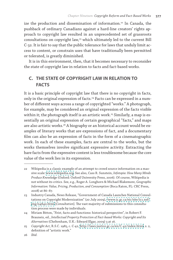ize the production and dissemination of information.<sup>22</sup> In Canada, the pushback of ordinary Canadians against a hard-line creators' rights approach to copyright law resulted in an unprecedented set of grassroots consultations on copyright law,<sup>23</sup> which ultimately led to the current Bill C-32. It is fair to say that the public tolerance for laws that unduly limit access to content, or constrain uses that have traditionally been permitted or tolerated, is greatly diminished.

It is in this environment, then, that it becomes necessary to reconsider the state of copyright law in relation to facts and fact-based works.

### **C. THE STATE OF COPYRIGHT LAW IN RELATION TO FACTS**

It is a basic principle of copyright law that there is no copyright in facts, only in the original expression of facts.<sup>24</sup> Facts can be expressed in a number of different ways across a range of copyrighted "works." A photograph, for example, may be considered an original expression of the facts visible within it; the photograph itself is an artistic work.<sup>25</sup> Similarly, a map is essentially an original expression of certain geographical "facts," and maps are also artistic works.<sup>26</sup> A biography or an historical account would be examples of literary works that are expressions of fact, and a documentary film can also be an expression of facts in the form of a cinematographic work. In each of these examples, facts are central to the works, but the works themselves involve significant expressive activity. Extracting the bare facts from the expressive content is less troublesome because the core value of the work lies in its expression.

<sup>22</sup> Wikipedia is a classic example of an attempt to crowd source information on a massive scale: [www.wikipedia.org.](http://www.wikipedia.org/) See also, Cass R. Sunstein, *Infotopia: How Many Minds Produce Knowledge* (Oxford: Oxford University Press, 2006). Of course, Wikipedia is not without its critics. See, e.g., Roger A. Longhorn & Michael Blakemore, *Geographic Information: Value, Pricing, Production, and Consumption* (Boca Raton, FL: CRC Press, 2008) at 86–87.

<sup>23</sup> Industry Canada, News Release, "Government of Canada Launches National Consultations on Copyright Modernization" (20 July 2009), [/www.ic.gc.ca/eic/site/ic1.nsf/](http://www.ic.gc.ca/eic/site/ic1.nsf/eng/04840.html) [eng/04840.html](http://www.ic.gc.ca/eic/site/ic1.nsf/eng/04840.html) [*Consultation*]. The vast majority of submissions to this consultation process were made by individuals.

<sup>24</sup> Miriam Bitton, "*Feist*, facts and functions: historical perspective", in Robert F. Brauneis, ed., *Intellectual Property Protection of Fact-based Works: Copyright and Its Alternatives* (Cheltenham, U.K.: Edward Elgar, 2009) 3 at 16.

<sup>25</sup> *Copyright Act*, R.S.C. 1985, c. C-42,<http://laws.justice.gc.ca/en/C-42/index.html>, s. 2, definition of "artistic work."

<sup>26</sup> *Ibid*.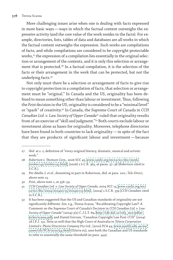More challenging issues arise when one is dealing with facts expressed in more basic ways—ways in which the factual content outweighs the expressive activity (and the core value of the work resides in the facts). For example, directories, lists, tables of data and databases are all works in which the factual content outweighs the expression. Such works are compilations of facts, and while compilations are considered to be copyright-protectable works,<sup>27</sup> the expression of a compilation lies essentially in the original selection or arrangement of the contents, and it is only this selection or arrangement that is protected.<sup>28</sup> In a factual compilation, it is the selection of the facts or their arrangement in the work that can be protected, but not the underlying facts.<sup>29</sup>

Not only must there be a selection or arrangement of facts to give rise to copyright protection in a compilation of facts, that selection or arrangement must be "original." In Canada and the US, originality has been defined to mean something other than labour or investment. Thus, following the *Feist* decision in the US, originality is considered to be a "minimal level" or "spark" of creativity.30 In Canada, the Supreme Court of Canada in *CCH Canadian Ltd. v. Law Society of Upper Canada*31 ruled that originality results from of an exercise of "skill and judgment."<sup>32</sup> Both courts exclude labour or investment alone as bases for originality. Moreover, telephone directories have been found in both countries to lack originality—in spite of the fact that they are products of significant labour and investment—because

30 *Feist*, above note 1, at 358–59.

31 *CCH Canadian Ltd. v. Law Society of Upper Canada*, 2004 SCC 13, [www.canlii.org/en/](http://www.canlii.org/en/ca/scc/doc/2004/2004scc13/2004scc13.html) [ca/scc/doc/2004/2004scc13/2004scc13.html](http://www.canlii.org/en/ca/scc/doc/2004/2004scc13/2004scc13.html) , [2004] 1 S.C.R. 339 [*CCH Canadian* cited to S.C.R.].

<sup>27</sup> *Ibid.* at s. 2, definition of "every original literary, dramatic, musical and artistic work."

<sup>28</sup> *Robertson v. Thomson Corp*., 2006 SCC 43, [www.canlii.org/en/ca/scc/doc/2006/](http://www.canlii.org/en/ca/scc/doc/2006/2006scc43/2006scc43.html) [2006scc43/2006scc43.html,](http://www.canlii.org/en/ca/scc/doc/2006/2006scc43/2006scc43.html) [2006] 2 S.C.R. 363, at paras. 37–38 [*Robertson* cited to S.C.R.].

<sup>29</sup> Per Abella J. *et al*., dissenting in part in Robertson, *ibid*. at para. 100.; *Tele-Direct*, above note 13.

<sup>32</sup> It has been suggested that the US and Canadian standards of originality are not significantly different. See, e.g., Teresa Scassa, "Recalibrating Copyright Law?: A Comment on the Supreme Court of Canada's Decision in *CCH Canadian Ltd. v. Law Society of Upper Canada"* (2004) 3(2) C.J.L.T. 89, [http://cjlt.dal.ca/vol3\\_no2/pdfar](http://cjlt.dal.ca/vol3_no2/pdfarticles/scassa.pdf)[ticles/scassa.pdf](http://cjlt.dal.ca/vol3_no2/pdfarticles/scassa.pdf), and Daniel Gervais, "Canadian Copyright Law Post-*CCH*" (2004) 18 I.P.J. 131. Note as well that the High Court of Australia in *Telstra Corporation Limited v. Phone Directories Company Pty Ltd*., [2010] FCA 44, [www.austlii.edu.au/au/](http://www.austlii.edu.au/au/cases/cth/FCA/2010/44.html) [cases/cth/FCA/2010/44.html](http://www.austlii.edu.au/au/cases/cth/FCA/2010/44.html) [*Telstra #2*], uses both the Canadian and US standards to refer to essentially the same threshold (at para. 344).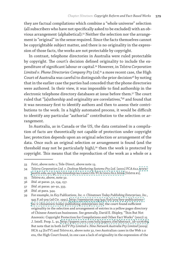they are factual compilations which combine a "whole universe" selection (all subscribers who have not specifically asked to be excluded) with an obvious arrangement (alphabetical).33 Neither the selection nor the arrangement is "original" in the sense required. Since the facts themselves cannot be copyrightable subject matter, and there is no originality in the expression of those facts, the works are not protectable by copyright.

In contrast, telephone directories in Australia were ruled protectable by copyright. The court's decision defined originality to include the expenditure of significant labour or capital.34 However, in *Telstra Corporation Limited v. Phone Directories Company Pty Ltd,*<sup>35</sup> a more recent case, the High Court of Australia was careful to distinguish the prior decision<sup>36</sup> by noting that in the earlier case the parties had conceded that the phone directories were authored. In their view, it was impossible to find authorship in the electronic telephone directory databases at issue before them.37 The court ruled that "[a]uthorship and originality are correlatives,"38 and found that it was necessary first to identify authors and then to assess their contributions to the work. In a highly automated process, it would be difficult to identify any particular "authorial" contribution to the selection or arrangement.

In Australia, as in Canada or the US, the data contained in a compilation of facts are theoretically not capable of protection under copyright law; protection depends upon an original selection or arrangement of the data. Once such an original selection or arrangement is found (and the threshold may not be particularly high),<sup>39</sup> then the work is protected by copyright. This means that the reproduction of the work as a whole or a

35 *Telstra #2*, above, note 32.

<sup>33</sup> *Feist*, above note 1; Tele-Direct, above note 13.

<sup>34</sup> *Telstra Corporation Ltd. v. Desktop Marketing Systems Pty Ltd*. [2001] FCA 612, [www.](http://www.austlii.edu.au/cgi-bin/sinodisp/au/cases/cth/FCA/2001/612.html) [austlii.edu.au/cgi-bin/sinodisp/au/cases/cth/FCA/2001/612.html](http://www.austlii.edu.au/cgi-bin/sinodisp/au/cases/cth/FCA/2001/612.html) [*Telstra #1*].

<sup>36</sup> *Ibid*. at paras. 52, 134, 157.

<sup>37</sup> *Ibid*. at paras. 90-91, 333.

<sup>38</sup> *Ibid*. at para. 344.

<sup>39</sup> For example, in *Key Publications, Inc. v. Chinatown Today Publishing Enterprises, Inc.*, 945 F.2d 509 (2d Cir. 1991), [http://openjurist.org/945/f2d/509/key-publications](http://openjurist.org/945/f2d/509/key-publications-inc-v-chinatown-today-publishing-enterprises-inc)[inc-v-chinatown-today-publishing-enterprises-inc](http://openjurist.org/945/f2d/509/key-publications-inc-v-chinatown-today-publishing-enterprises-inc), the court found sufficient originality in the selection and arrangement of entries in a yellow pages directory of Chinese-American businesses. See generally, David E. Shipley, "Thin But Not Anorexic: Copyright Protection for Compilations and Other Fact Works" (2007) 15 J. Intell. Prop. L. 91, [http://papers.ssrn.com/sol3/papers.cfm?abstract\\_id=1076789](http://papers.ssrn.com/sol3/papers.cfm?abstract_id=1076789). But note that in both *IceTV Pty Limited v. Nine Network Australia Pty Limited* [2009] HCA 14 [*IceTV*] and *Telstra #2*, above note 32, two Australian cases in the Web 2.0 era, the High Court found, in one case a lack of originality in the expression of the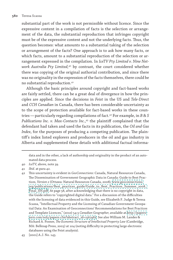substantial part of the work is not permissible without licence. Since the expressive content in a compilation of facts is the selection or arrangement of the data, the substantial reproduction that infringes copyright must be of the expressive content and not the underlying facts. Thus, the question becomes: what amounts to a substantial taking of the selection or arrangement of the facts? One approach is to ask how many facts, or which facts, amount to a substantial reproduction of the selection or arrangement expressed in the compilation. In *IceTV Pty Limited v. Nine Network Australia Pty Limited,*40 by contrast, the court considered whether there was copying of the original authorial contribution, and since there was no originality in the expression of the facts themselves, there could be no substantial reproduction.41

Although the basic principles around copyright and fact-based works are fairly settled, there can be a great deal of divergence in how the principles are applied. Since the decisions in *Feist* in the US and *Tele-Direct* and *CCH Canadian* in Canada, there has been considerable uncertainty as to the scope of protection available for fact-based works in these countries—particularly regarding compilations of fact.42 For example, in *B & S Publications Inc. v. Max-Contacts Inc.*, 43 the plaintiff complained that the defendant had taken and used the facts in its publication, the *Oil and Gas Index*, for the purposes of producing a competing publication. The plaintiff's index listed explorers and producers in the oil and gas industry in Alberta and supplemented these details with additional factual informa-

data and in the other, a lack of authorship and originality in the product of an automated data process.

40 *IceTV*, above*,* note 39.

<sup>41</sup> *Ibid*. at para 42.

<sup>42</sup> This uncertainty is evident in *GeoConnections*: Canada, Natural Resources Canada, The Dissemination of Government Geographic Data in Canada: Guide to Best Practices, *Version 2* (Ottawa: Natural Resources Canada, 2008), [www.geoconnections.](http://www.geoconnections.org/publications/Best_practices_guide/Guide_to_Best_Practices_Summer_2008_Final_EN.pdf) [org/publications/Best\\_practices\\_guide/Guide\\_to\\_Best\\_Practices\\_Summer\\_2008\\_](http://www.geoconnections.org/publications/Best_practices_guide/Guide_to_Best_Practices_Summer_2008_Final_EN.pdf) [Final\\_EN.pdf](http://www.geoconnections.org/publications/Best_practices_guide/Guide_to_Best_Practices_Summer_2008_Final_EN.pdf). At page 58, after acknowledging that there is no copyright in data, the Guide refers to "copyrighted digital data." For a discussion of the difficulties with the licensing of data evidenced in this Guide, see Elizabeth F. Judge & Teresa Scassa, "Intellectual Property and the Licensing of Canadian Government Geospatial Data: An Examination of Geoconnections' Recommendations for Best Practices and Template Licences," (2010) 54:3 *Canadian Geographer*, available at [http://papers.](http://papers.ssrn.com/sol3/papers.cfm?abstract_id=1567482) [ssrn.com/sol3/papers.cfm?abstract\\_id=1567482](http://papers.ssrn.com/sol3/papers.cfm?abstract_id=1567482). See also William M. Landes & Richard A. Posner, *The Economic Structure of Intellectual Property Law* (Cambridge, MA: Belknap Press, 2003) at 104 (noting difficulty in protecting large electronic databases using the Feist analysis).

<sup>43</sup> [2001] A.J. No. 143.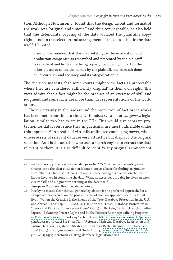tion. Although Hutchison J. found that the design layout and format of the work was "original and unique," and thus copyrightable, he also held that the defendant's copying of the data violated the plaintiff's copyright—not in the selection and arrangement of the data—but in the data itself. He noted:

I am of the opinion that the data relating to the exploration and production companies as researched and presented by the plaintiff is capable of and by itself of being copyrighted, owing in part to the criteria used to select the names by the plaintiff, the research done on its currency and accuracy, and its categorization.44

The decision suggests that some courts might view facts as protectable where they are considered sufficiently 'original' in their own right. This view admits that a fact might be the product of an exercise of skill and judgment and some facts are more than just representations of the world around us.

The uncertainty in the law around the protection of fact-based works has been met, from time to time, with industry calls for *sui generis* legislation, similar to what exists in the EU.<sup>45</sup> This would give separate protection for databases, since they in particular are most vulnerable under this approach.46 In a realm of virtually unlimited computing power, whole universe sets of relevant data are very attractive but display little original selection. As it is the searcher who uses a search engine to extract the data relevant to them, it is also difficult to identify any original arrangement

<sup>44</sup> *Ibid*. at para. 44. The case was decided prior to *CCH Canadian*, above note 30, and thus prior to the clear exclusion of labour alone as a basis for finding originality. Nevertheless, Hutchison J. does not appear to be basing his reasons on the sheer labour involved in compiling the data. What he describes arguably involves an exercise in skill and judgment in arriving at the data itself.

<sup>45</sup> European Database Directive, above note 5.

<sup>46</sup> It is by no means clear that sui generis legislation is the preferred approach. For a sample of perspectives on the pros and cons of such an approach, see Amy C. Sullivan, "When the Creative Is the Enemy of the True: Database Protection in the U.S. and Abroad" (2001) 29 A.I.P.L.A.Q.J. 317; Charles C. Huse, "Database Protection in Theory and Practice: Three Recent Cases" (2005) 20 Berkeley Tech. L.J. 23; Jacqueline Lipton, "Balancing Private Rights and Public Policies: Reconceptualizing Property in Databases" (2003) 18 Berkeley Tech. L.J. 773, [http://papers.ssrn.com/sol3/papers.](http://papers.ssrn.com/sol3/papers.cfm?abstract_id=471885) [cfm?abstract\\_id=471885;](http://papers.ssrn.com/sol3/papers.cfm?abstract_id=471885) Yijun Tian, "Reform of Existing Database Legislation and Future Database Legislation Strategies: Towards a Better Balance in the Database Law" (2005) 31 Rutgers Computer & Tech. L.J. 347, [www.accessmylibrary.com/arti](http://www.accessmylibrary.com/article-1G1-139431582/reform-existing-database-legislation.html)[cle-1G1-139431582/reform-existing-database-legislation.html.](http://www.accessmylibrary.com/article-1G1-139431582/reform-existing-database-legislation.html)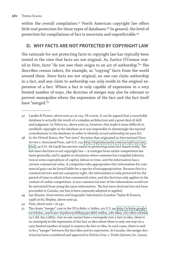within the overall compilation.<sup>47</sup> North American copyright law offers little real protection for these types of databases.<sup>48</sup> In general, the level of protection for compilations of fact is uncertain and unpredictable.<sup>49</sup>

#### **D. WHY FACTS ARE NOT PROTECTED BY COPYRIGHT LAW**

The rationale for not protecting facts in copyright law has typically been rooted in the view that facts are not original. As Justice O'Connor stated in *Feist*, facts "do not owe their origin to an act of authorship."<sup>50</sup> She describes census takers, for example, as "copying" facts from the world around them. Since facts are not original, no one can claim authorship in a fact, and any claim to authorship can only reside in the original expression of a fact. Where a fact is only capable of expression in a very limited number of ways, the doctrine of merger may also be relevant to prevent monopolies where the expression of the fact and the fact itself have "merged."51

<sup>47</sup> Landes & Posner, above note 42 at 104. Of course, it can be argued that a searchable database is actually the result of a complex architecture and a great deal of skill and judgment. In *Telstra #2*, above note 32, however, this made it more difficult to establish copyright in the database as it was impossible to disentangle the myriad contributions to the database in order to identify actual authorship (at para 87).

<sup>48</sup> In the United States, the "hot news" doctrine that originated in *International News Service v. Associated Press*, 248 U.S. 215, [http://supreme.justia.com/us/248/215/case.](http://supreme.justia.com/us/248/215/case.html) [html](http://supreme.justia.com/us/248/215/case.html), 39 S.Ct. 68 (1918) has proven useful in protecting some fact-based works. The hot news doctrine is not copyright law—it emerges from unfair competition law more generally, and it applies in situations where someone has compiled information at some expenditure of capital, labour or time, and the information has a certain commercial value. A competitor who appropriates this information for commercial gain can be found liable for a species of misappropriation. Because this is a commercial tort and not a property right, the information is only protected for the period of time in which it has commercial value, and the doctrine only applies in the context of unfair competition. A non-commercial user of the information would not be restrained from using the same information. The hot news doctrine has not been precluded in Canada, nor has it been expressly adopted or applied.

<sup>49</sup> Ian Masser, *Governments and Geographic Information* (London: Taylor & Francis, 1998) at 82; Shipley, above note 39.

<sup>50</sup> *Feist*, above note 1 at 347.

<sup>51</sup> The classic "merger" case in the US is *Baker v. Selden*, 101 U.S. 99, [http://scholar.google.](http://scholar.google.ca/scholar_case?case=16308210976883953911&hl=en&as_sdt=2&as_vis=1&oi=scholar) [ca/scholar\\_case?case=16308210976883953911&hl=en&as\\_sdt=2&as\\_vis=1&oi=scholar](http://scholar.google.ca/scholar_case?case=16308210976883953911&hl=en&as_sdt=2&as_vis=1&oi=scholar), 25 L.Ed. 841 (1880). Just as one cannot have a monopoly over a fact or idea, there is no monopoly in the expression of the fact or idea where there is only one way (or a very limited number of ways) to express the fact or idea. In such cases, there is said to be a "merger" between the fact/idea and its expression. In Canada, the merger doctrine has been considered and approved in *Delrina Corp. v. Triolet Systems, Inc.* (2002),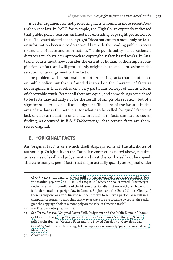A better argument for not protecting facts is found in more recent Australian case law. In *IceTV*, for example, the High Court expressly indicated that public policy reasons justified not extending copyright protection to facts. The court stated that copyright "does not confer a monopoly on facts or information because to do so would impede the reading public's access to and use of facts and information."<sup>52</sup> This public policy-based rationale dictates a much stricter approach to copyright in fact-based works. In Australia, courts must now consider the extent of human authorship in compilations of fact, and will protect only original authorial expression in the selection or arrangement of the facts.

The problem with a rationale for not protecting facts that is not based on public policy, but that is founded instead on the character of facts as not original, is that it relies on a very particular concept of fact as a form of observable truth. Yet not all facts are equal, and some things considered to be facts may actually not be the result of simple observation, but of a significant exercise of skill and judgment. Thus, one of the fissures in this area of the law is the potential for what can be called "original" facts.<sup>53</sup> A lack of clear articulation of the law in relation to facts can lead to courts finding, as occurred in *B & S Publications*, 54 that certain facts are themselves original.

#### **E. "ORIGINAL" FACTS**

An "original fact" is one which itself displays some of the attributes of authorship. Originality in the Canadian context, as noted above, requires an exercise of skill and judgement and that the work itself not be copied. There are many types of facts that might actually qualify as original under

<sup>58</sup> O.R. (3d) 339,at para. 52, [www.canlii.org/en/on/onca/doc/2002/2002canlii11389/](http://www.canlii.org/en/on/onca/doc/2002/2002canlii11389/2002canlii11389.html) [2002canlii11389.html,](http://www.canlii.org/en/on/onca/doc/2002/2002canlii11389/2002canlii11389.html) 17 C.P.R. (4th) 289 (C.A.) where the court stated: "The merger notion is a natural corollary of the idea/expression distinction which, as I have said, is fundamental in copyright law in Canada, England and the United States. Clearly, if there is only one or a very limited number of ways to achieve a particular result in a computer program, to hold that that way or ways are protectable by copyright could give the copyright holder a monopoly on the idea or function itself."

<sup>52</sup> *IceTV*, above note 39 at para 28.

<sup>53</sup> See Teresa Scassa, "Original Facts: Skill, Judgment and the Public Domain" (2006) 51 McGill L.J. 253, [http://lawjournal.mcgill.ca/documents/1224868339\\_Scassa.](http://lawjournal.mcgill.ca/documents/1224868339_Scassa.pdf) [pdf](http://lawjournal.mcgill.ca/documents/1224868339_Scassa.pdf); Justin Hughes, "Created Facts and the Flawed Ontology of Copyright Law" (2007) 83 Notre Dame L. Rev. 43, [http://papers.ssrn.com/sol3/papers.cfm?abstract\\_](http://papers.ssrn.com/sol3/papers.cfm?abstract_id=1012071) [id=1012071.](http://papers.ssrn.com/sol3/papers.cfm?abstract_id=1012071)

<sup>54</sup> Above note 43.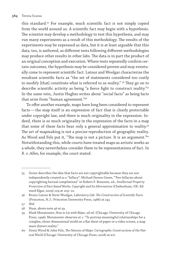this standard.55 For example, much scientific fact is not simply copied from the world around us. A scientific fact may begin with a hypothesis. The scientist may develop a methodology to test this hypothesis, and may run many experiments as a result of this methodology. The results of the experiments may be expressed as data, but it is at least arguable that this data, too, is authored, as different tests following different methodologies may produce other results in other labs. The data is in part the product of an original conception and execution. Where tests repeatedly confirm certain outcomes, the hypothesis may be considered proven and may eventually come to represent scientific fact. Latour and Woolgar characterize the resultant scientific facts as "the set of statements considered too costly to modify [that] constitute what is referred to as reality." <sup>56</sup> They go on to describe scientific activity as being "a fierce fight to construct reality."<sup>57</sup> In the same vein, Justin Hughes writes about "social facts" as being facts that arise from "human agreement."58

To offer another example, maps have long been considered to represent facts—the map itself is an expression of fact that is clearly protectable under copyright law, and there is much originality in the expression. Indeed, there is so much originality in the expression of the facts in a map that some of these facts bear only a general approximation to reality.59 The art of mapmaking is not a precise reproduction of geographic reality. As Wood and Fels put it, "The map is not a picture. It is an argument."<sup>60</sup> Notwithstanding this, while courts have treated maps as artistic works as a whole, they nevertheless consider them to be representations of fact. In *R. v. Allen*, for example, the court stated:

<sup>55</sup> Green describes the idea that facts are not copyrightable because they are not independently created as a "fallacy": Michael Steven Green, "Two fallacies about copyrighting factual compilations" in Robert F. Brauneis, ed., *Intellectual Property Protection of Fact-based Works: Copyright and Its Alternatives* (Cheltenham, UK: Edward Elgar, 2009) 109 at 109–10.

<sup>56</sup> Bruno Latour & Steve Woolgar, *Laboratory Life: The Construction of Scientific Facts* (Princeton, N.J.: Princeton University Press, 1986) at 243.

<sup>57</sup> *Ibid*.

<sup>58</sup> Huse, above note 46 at 59.

<sup>59</sup> Mark Monmonier, *How to Lie with Maps*, 2d ed. (Chicago: University of Chicago Press, 1996). Monmonier observes at 1: "To portray meaningful relationships for a complex, three-dimensional world on a flat sheet of paper or a video screen, a map must distort reality."

<sup>60</sup> Denis Wood & John Fels, *The Natures of Maps: Cartographic Constructions of the Natural World* (Chicago: University of Chicago Press, 2008) at xvi.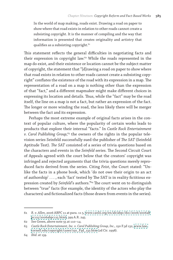In the world of map making, roads exist. Drawing a road on paper to show where that road exists in relation to other roads cannot create a subsisting copyright. It is the manner of compiling and the way that information is presented that creates originality and artistry that qualifies as a subsisting copyright.<sup>61</sup>

This statement reflects the general difficulties in negotiating facts and their expression in copyright law.<sup>62</sup> While the roads represented in the map do exist, and their existence or location cannot be the subject matter of copyright, the statement that "[d]rawing a road on paper to show where that road exists in relation to other roads cannot create a subsisting copyright" conflates the existence of the road with its expression in a map. The representation of a road on a map is nothing other than the expression of that "fact," and a different mapmaker might make different choices in expressing its location and details. Thus, while the "fact" may be the road itself, the line on a map is not a fact, but rather an expression of the fact. The longer or more winding the road, the less likely there will be merger between the fact and its expression.

Perhaps the most extreme example of original facts arises in the context of popular culture, where the popularity of certain works leads to products that explore their internal "facts." In *Castle Rock Entertainment v. Carol Publishing Group*, 63 the owners of the rights in the popular television series Seinfeld successfully sued the publisher of *The SAT* (Seinfeld Aptitude Test). *The SAT* consisted of a series of trivia questions based on the characters and events in the *Seinfeld* series. The Second Circuit Court of Appeals agreed with the court below that the creators' copyright was infringed and rejected arguments that the trivia questions merely reproduced facts derived from the series. Citing *Feist*, the Court stated: "Unlike the facts in a phone book, which 'do not owe their origin to an act of authorship' . . . , each 'fact' tested by The SAT is in reality fictitious expression created by *Seinfeld*'s authors."64 The court went on to distinguish between "true" facts (for example, the identity of the actors who play the characters) and fictionalized facts (those drawn from events in the series).

<sup>61</sup> *R. v. Allen*, 2006 ABPC 11 at para. 11 5, [www.canlii.org/en/ab/abpc/doc/2006/2006ab](http://www.canlii.org/en/ab/abpc/doc/2006/2006abpc115/2006abpc115.html) [pc115/2006abpc115.html,](http://www.canlii.org/en/ab/abpc/doc/2006/2006abpc115/2006abpc115.html) 399 A.R. 245.

<sup>62</sup> See Green, above note 55 at 110–14.

<sup>63</sup> *Castle Rock Entertainment, Inc. v. Carol Publishing Group, Inc.*, 150 F.3d 132, [www.law.](http://www.law.cornell.edu/copyright/cases/150_F3d_132.htm) [cornell.edu/copyright/cases/150\\_F3d\\_132.htm](http://www.law.cornell.edu/copyright/cases/150_F3d_132.htm) (2d Cir. 1998).

<sup>64</sup> *Ibid*. at 139.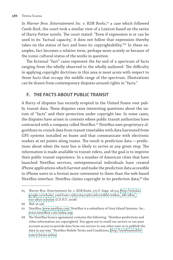In *Warner Bros. Entertainment Inc. v. RDR Books*, 65 a case which followed *Castle Rock*, the court took a similar view of a Lexicon based on the series of Harry Potter novels. The court stated: "Even if expression is or can be used in its 'factual capacity,' it does not follow that expression thereby takes on the status of fact and loses its copyrightability."<sup>66</sup> In these examples, fact becomes a relative term, perhaps more acutely so because of the iconic cultural status of the works in question.

The fictional "fact" cases represent the far end of a spectrum of facts ranging from the wholly observed to the wholly authored. The difficulty in applying copyright doctrines in this area is most acute with respect to those facts that occupy the middle range of the spectrum. Illustrations can be drawn from contemporary disputes around rights in "facts."

#### **F. THE FACTS ABOUT PUBLIC TRANSIT**

A flurry of disputes has recently erupted in the United States over public transit data. These disputes raise interesting questions about the nature of "facts" and their protection under copyright law. In some cases, the disputes have arisen in contexts where public transit authorities have contracted with a company called NextBus.<sup>67</sup> NextBus uses proprietary algorithms to crunch data from transit timetables with data harvested from GPS systems installed on buses and that communicate with electronic readers at set points along routes. The result is prediction data—predictions about when the next bus is likely to arrive at any given stop. The information is made available to transit riders, and the goal is to improve their public transit experience. In a number of American cities that have launched NextBus services, entrepreneurial individuals have created iPhone applications which harvest and make the prediction data accessible to iPhone users in a format more convenient to them than the web-based NextBus interface. NextBus claims copyright in its prediction data;<sup>68</sup> the

<sup>65</sup> *Warner Bros. Entertainment Inc. v. RDR Books*, 575 F. Supp. 2d 513, [http://scholar.](http://scholar.google.ca/scholar_case?case=13852164224811081270&hl=en&as_sdt=2&as_vis=1&oi=scholar) [google.ca/scholar\\_case?case=13852164224811081270&hl=en&as\\_sdt=2&as\\_](http://scholar.google.ca/scholar_case?case=13852164224811081270&hl=en&as_sdt=2&as_vis=1&oi=scholar) [vis=1&oi=scholar,](http://scholar.google.ca/scholar_case?case=13852164224811081270&hl=en&as_sdt=2&as_vis=1&oi=scholar) (S.D.N.Y. 2008).

<sup>66</sup> *Ibid*. at 536.

<sup>67</sup> NextBus, [www.nextbus.com.](http://www.nextbus.com/) NextBus is a subsidiary of Grey Island Systems, Inc., [www.interfleet.com/index.asp.](http://www.interfleet.com/index.asp)

<sup>68</sup> The NextBus licence agreement contains the following: "Nextbus predictions and other information are copyrighted. You agree not to resell our service or use your account access to provide data from our service to any other user or to publish the data in any way." NextBus Mobile Terms and Conditions, [http://nextbusmobile.](http://nextbusmobile.com/s/terms.webui) [com/s/terms.webui.](http://nextbusmobile.com/s/terms.webui)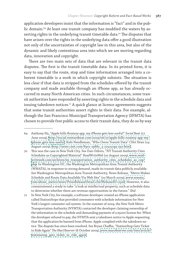application developers insist that the information is "fact" and in the public domain.<sup>69</sup> At least one transit company has muddied the waters by asserting rights in the underlying transit timetable data.<sup>70</sup> The disputes that have arisen over the rights in the underlying data offer a good illustration not only of the uncertainties of copyright law in this area, but also of the dynamic and likely contentious area into which we are moving regarding data, innovation and copyright.

There are two main sets of data that are relevant in the transit data disputes. The first is the transit timetable data. In its printed form, it is easy to say that the route, stop and time information arranged into a coherent timetable is a work in which copyright subsists. The situation is less clear if that data is stripped from the schedules offered by the transit company and made available through an iPhone app, as has already occurred in many North American cities. In such circumstances, some transit authorities have responded by asserting rights in the schedule data and issuing takedown notices.<sup>71</sup> A quick glance at licence agreements suggests that some transit authorities assert rights in their data. For example, although the San Francisco Municipal Transportation Agency (SFMTA) has chosen to provide free public access to their transit data, they do so by way

<sup>69</sup> Anthony Ha, "Apple kills Routesy app, my iPhone gets less useful" *Social Beat* (27 June 2009), [http://social.venturebeat.com/2009/06/27/apple-kills-routesy-app-my](http://social.venturebeat.com/2009/06/27/apple-kills-routesy-app-my-iphone-gets-less-useful)[iphone-gets-less-useful](http://social.venturebeat.com/2009/06/27/apple-kills-routesy-app-my-iphone-gets-less-useful); Rafe Needleman, "Who Owns Transit Data" *CNet News* (24 August 2009), [http://news.cnet.com/8301-19882\\_3-10315749-250.html.](http://news.cnet.com/8301-19882_3-10315749-250.html)

<sup>70</sup> This was the case in New York City. See Dan Oshiro, "NY Transit Authority Cites Schedules as Copyrighted Material" *ReadWriteWeb* (20 August 2009), [www.read](http://www.readwriteweb.com/archives/ny_transportation_authority_cites_schedules_as_cop.php)[writeweb.com/archives/ny\\_transportation\\_authority\\_cites\\_schedules\\_as\\_cop.](http://www.readwriteweb.com/archives/ny_transportation_authority_cites_schedules_as_cop.php) [php.](http://www.readwriteweb.com/archives/ny_transportation_authority_cites_schedules_as_cop.php) In Washington DC, the Washington Metropolitan Area Transit Authority (WMATA), in response to strong demand, made its transit data publicly available. See Washington Metropolitan Area Transit Authority, News Release, "Metro Makes Schedule and Route Data Available Via Web Site" (20 March 2009), [www.wmata.](http://www.wmata.com/about_metro/news/PressReleaseDetail.cfm?ReleaseID=2506) [com/about\\_metro/news/PressReleaseDetail.cfm?ReleaseID=2506](http://www.wmata.com/about_metro/news/PressReleaseDetail.cfm?ReleaseID=2506). However, it also commissioned a study to take "a look at intellectual property, such as schedule data to determine whether there are revenue opportunities in the future." *Ibid*.

<sup>71</sup> In New York City, for example, a software developer created an iPhone application called StationStops that provided commuters with schedule information for New York's largest commuter rail system. In the summer of 2009, the New York Metro Transportation Authority (NYMTA) contacted the developer claiming ownership of the information in the schedule and demanding payment of a \$5000 license fee. When the developer refused to pay, the NYMTA sent a takedown notice to Apple requesting that the application be banned from iPhone. Apple complied with the takedown notice. The dispute has since been resolved. See Bryan Chaffin, "StationStop Gets Ticket to Ride Again" *The MacObserver* (8 October 2009), [www.macobserver.com/tmo/article/](http://www.macobserver.com/tmo/article/stationstop_gets_ticket_to_ride_again) [stationstop\\_gets\\_ticket\\_to\\_ride\\_again.](http://www.macobserver.com/tmo/article/stationstop_gets_ticket_to_ride_again)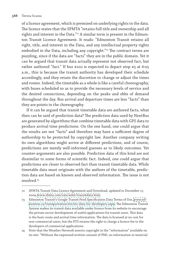of a licence agreement, which is premised on underlying rights in the data. The licence states that the SFMTA "retains full title and ownership and all rights and interest in the Data."72 A similar term is present in the Edmonton Transit Licence Agreement. It reads: "Edmonton Transit retains all right, title, and interest in the Data, and any intellectual property rights embodied in the Data, including any copyright."<sup>73</sup> The contract terms are puzzling, since if the data are "facts" they are in the public domain. Yet it can be argued that transit data actually represent not observed fact, but rather authored "fact." If bus #102 is expected to depart stop #5 at 6:05 a.m., this is because the transit authority has developed their schedule accordingly, and they retain the discretion to change or adjust the times and routes. Indeed, the timetable as a whole is like a careful choreography, with buses scheduled so as to provide the necessary levels of service and the desired connections, depending on the peaks and ebbs of demand throughout the day. Bus arrival and departure times are less "facts" than they are points in the choreography.

If it can be argued that transit timetable data are authored facts, what then can be said of prediction data? The prediction data used by NextBus are generated by algorithms that combine timetable data with GPS data to produce arrival time predictions. On the one hand, one could argue that the results are not "facts" and therefore may have a sufficient degree of authorship to be protected by copyright law. Another company writing its own algorithms might arrive at different predictions, and of course, predictions are merely well-informed guesses as to likely outcomes. Yet counter-arguments are also possible. Prediction data of this kind are not dissimilar to some forms of scientific fact. Indeed, one could argue that predictions are closer to observed fact than transit timetable data. While timetable data must originate with the authors of the timetable, prediction data are based on known and observed information. The issue is not resolved.74

74 Note that the Weather Network asserts copyright in the "information" available on its site: "Without the expressed written consent of PMI, no information or material

<sup>72</sup> SFMTA Transit Data Licence Agreement and Download, updated to December 17, 2009, [www.sfmta.com/cms/asite/transitdata.htm](http://www.sfmta.com/cms/asite/transitdata.htm).

<sup>73</sup> Edmonton Transit's Google Transit Feed Specification Data Terms of Use, [www.ed](http://www.edmonton.ca/transportation/ets/ets-data-for-developers.aspx)[monton.ca/transportation/ets/ets-data-for-developers.aspx](http://www.edmonton.ca/transportation/ets/ets-data-for-developers.aspx). The Edmonton Transit System makes its transit data available under licence from its website to encourage the private sector development of useful applications for transit users. This data is the basic route and arrival time information. The data is licensed at no cost for non-commercial users, but the ETS retains the right to charge a licence fee to the developers of commercial applications.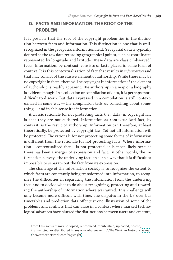#### **G. FACTS AND INFORMATION: THE ROOT OF THE PROBLEM**

It is possible that the root of the copyright problem lies in the distinction between facts and information. This distinction is one that is wellrecognized in the geospatial information field. Geospatial data is typically defined as the raw data recording geographical points, such as coordinates represented by longitude and latitude. These data are classic "observed" facts. Information, by contrast, consists of facts placed in some form of context. It is this contextualization of fact that results in *information* and that may consist of the elusive element of authorship. While there may be no copyright in facts, there will be copyright in information if the element of authorship is readily apparent. The authorship in a map or a biography is evident enough. In a collection or compilation of data, it is perhaps more difficult to discern. But data expressed in a compilation is still contextualized in some way—the compilation tells us something about something—and in this sense it is information.

A classic rationale for not protecting facts (i.e., data) in copyright law is that they are not authored. Information as contextualized fact, by contrast, is the result of authorship. Information can therefore, at least theoretically, be protected by copyright law. Yet not all information will be protected. The rationale for not protecting some forms of information is different from the rationale for not protecting facts. Where information—contextualized fact—is not protected, it is most likely because there has been a merger of expression and fact. In other words, the information conveys the underlying facts in such a way that it is difficult or impossible to separate out the fact from its expression.

The challenge of the information society is to recognize the extent to which facts are constantly being transformed into information, to recognize the difficulties in separating the information from the underlying fact, and to decide what to do about recognizing, protecting and rewarding the authorship of information where warranted. This challenge will only become more difficult with time. The disputes in the US over bus timetables and prediction data offer just one illustration of some of the problems and conflicts that can arise in a context where marked technological advances have blurred the distinctions between users and creators,

from this Web site may be copied, reproduced, republished, uploaded, posted, transmitted, or distributed in any way whatsoever. . ."; The Weather Network, [www.](http://www.theweathernetwork.com/copyright/) [theweathernetwork.com/copyright](http://www.theweathernetwork.com/copyright/).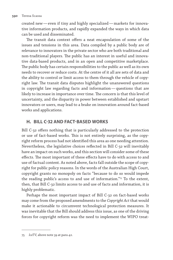created new—even if tiny and highly specialized—markets for innovative information products, and rapidly expanded the ways in which data can be used and disseminated.

The transit data context offers a neat encapsulation of some of the issues and tensions in this area. Data compiled by a public body are of relevance to innovators in the private sector who are both traditional and non-traditional players. The public has an interest in useful and innovative data-based products, and in an open and competitive marketplace. The public body has certain responsibilities to the public as well as its own needs to recover or reduce costs. At the centre of it all are sets of data and the ability to control or limit access to them through the vehicle of copyright law. The transit data disputes highlight the unanswered questions in copyright law regarding facts and information—questions that are likely to increase in importance over time. The concern is that this level of uncertainty, and the disparity in power between established and upstart innovators or users, may lead to a brake on innovation around fact-based works and applications.

#### **H. BILL C-32 AND FACT-BASED WORKS**

Bill C-32 offers nothing that is particularly addressed to the protection or use of fact-based works. This is not entirely surprising, as the copyright reform process had not identified this area as one needing attention. Nevertheless, the legislative choices reflected in Bill C-32 will inevitably have an impact on such works, and this section will consider some of these effects. The most important of these effects have to do with access to and use of factual content. As noted above, facts fall outside the scope of copyright for public policy reasons. In the words of the Australian High Court, copyright grants no monopoly on facts "because to do so would impede the reading public's access to and use of information."75 To the extent, then, that Bill C-32 limits access to and use of facts and information, it is highly problematic.

Perhaps the most important impact of Bill C-32 on fact-based works may come from the proposed amendments to the *Copyright Act* that would make it actionable to circumvent technological protection measures. It was inevitable that the Bill should address this issue, as one of the driving forces for copyright reform was the need to implement the WIPO treat-

<sup>75</sup> *IceTV*, above note 39 at para 42.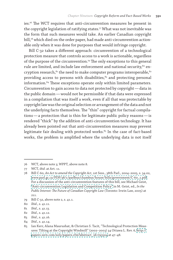ies.76 The WCT requires that anti-circumvention measures be present in the copyright legislation of ratifying states.<sup>77</sup> What was not inevitable was the form that such measures would take. An earlier Canadian copyright bill,<sup>78</sup> which died on the order paper, had made anti-circumvention actionable only when it was done for purposes that would infringe copyright.

Bill C-32 takes a different approach: circumvention of a technological protection measure that controls access to a work is actionable, regardless of the purpose of the circumvention.79 The only exceptions to this general rule are limited, and include law enforcement and national security,<sup>80</sup> encryption research, $81$  the need to make computer programs interoperable, $82$ providing access to persons with disabilities,<sup>83</sup> and protecting personal information.<sup>84</sup> These exceptions operate only within limited parameters. Circumvention to gain access to data not protected by copyright—data in the public domain—would not be permissible if that data were expressed in a compilation that was itself a work, even if all that was protectable by copyright law was the original selection or arrangement of the data and not the underlying facts themselves. The "thin" copyright for factual compilations—a protection that is thin for legitimate public policy reasons—is rendered "thick" by the addition of anti-circumvention technology. It has already been pointed out that anti-circumvention measures may prevent legitimate fair dealing with protected works.<sup>85</sup> In the case of fact-based works, the problem is amplified where the underlying data is not itself

- 82 *Ibid.*, s. 41.12.
- 83 *Ibid.*, s. 41.16.

<sup>76</sup> WCT, above note 3; WPPT, above note 8.

<sup>77</sup> WCT, *ibid*. at Art. 11.

<sup>78</sup> Bill C-60, *An Act to amend the Copyright Act*, 1st Sess., 38th Parl., 2004–2005, s. 34.02, [www.parl.gc.ca/PDF/38/1/parlbus/chambus/house/bills/government/C-60\\_1.pdf.](http://www.parl.gc.ca/PDF/38/1/parlbus/chambus/house/bills/government/C-60_1.pdf) For a discussion of the anti-circumvention features of this bill, see Michael Geist, ["Anti-circumvention Legislation and Competition Policy"](http://www.irwinlaw.com/content/assets/content-commons/120/Two_04_Geist.pdf) in M. Geist, ed., *In the Public Interest: The Future of Canadian Copyright Law* (Toronto: Irwin Law, 2005) at 211.

<sup>79</sup> Bill C-32, above note 2, s. 41.1.

<sup>80</sup> *Ibid.*, s. 41.11.

<sup>81</sup> *Ibid.*, s. 41.13.

<sup>84</sup> *Ibid.*, s. 41.14.

<sup>85</sup> Ian Kerr, Alana Maurushat, & Christian S. Tacit, "Technological Protection Measures: Tilting at the Copyright Windmill" (2002–2003) 34 Ottawa L. Rev. 6, [http://](http://papers.ssrn.com/sol3/papers.cfm?abstract_id=793504) [papers.ssrn.com/sol3/papers.cfm?abstract\\_id=793504](http://papers.ssrn.com/sol3/papers.cfm?abstract_id=793504) at 47–48.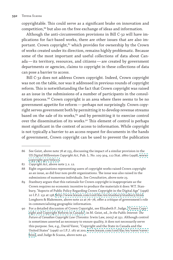copyrightable. This could serve as a significant brake on innovation and competition,<sup>86</sup> but also on the free exchange of ideas and information.

Although the anti-circumvention provisions in Bill C-32 will have implications for fact-based works, there are other issues that are also important. Crown copyright,<sup>87</sup> which provides for ownership by the Crown of works created under its direction, remains highly problematic. Because some of the most important and useful collections of data about Canada—its territory, resources, and citizens—are created by government departments or agencies, claims to copyright in these collections of data can pose a barrier to access.

Bill C-32 does not address Crown copyright. Indeed, Crown copyright was not on the table, nor was it addressed in previous rounds of copyright reform. This is notwithstanding the fact that Crown copyright was raised as an issue in the submissions of a number of participants in the consultation process.<sup>88</sup> Crown copyright is an area where there seems to be no government appetite for reform—perhaps not surprisingly. Crown copyright serves government both by permitting it to develop revenue streams based on the sale of its works, $89$  and by permitting it to exercise control over the dissemination of its works.<sup>90</sup> This element of control is perhaps most significant in the context of access to information. While copyright is not typically a barrier to an access request for documents in the hands of government, Crown copyright can be used to prevent the publication

<sup>86</sup> See Geist, above note 78 at 235, discussing the impact of a similar provision in the US *Digital Millennium Copyright Act*, Pub. L. No. 105-304, 112 Stat. 2860 (1998), [www.](http://www.copyright.gov/title17/) [copyright.gov/title17/.](http://www.copyright.gov/title17/)

<sup>87</sup> *Copyright Act*, above note 7, s. 12.

<sup>88</sup> Eight organizations representing users of copyright works raised Crown copyright as an issue, as did four non-profit organizations. The issue was also raised in the submissions of numerous individuals. See *Consultation*, above note 23.

<sup>89</sup> Stanbury argues that this rationale for Crown copyright is inappropriate as the Crown requires no economic incentive to produce the materials it does: W.T. Stanbury, "Aspects of Public Policy Regarding Crown Copyright in the Digital Age" (1996) 10 I.P.J. 131 at 138, [http://www.lexum.com/conf/dac/en/stanbury/stanbury.html.](http://www.lexum.com/conf/dac/en/stanbury/stanbury.html) Longhorn & Blakemore, above note 22 at 76–78, offer a critique of government's role in commercializing geographic information.

<sup>90</sup> For a detailed discussion of Crown Copyright, see Elizabeth F. Judge, ["Crown Copy](http://www.irwinlaw.com/content/assets/content-commons/120/Three_05_Judge.pdf)[right and Copyright Reform in Canada",](http://www.irwinlaw.com/content/assets/content-commons/120/Three_05_Judge.pdf) in M. Geist, ed., *In the Public Interest: The Future of Canadian Copyright Law* (Toronto: Irwin Law, 2005) at 551. Although control is sometimes asserted as necessary to ensure quality, it does not necessarily serve this purpose. See, e.g., David Vaver, "Copyright and the State in Canada and the United States" (1996) 10 I.P.J. 187 at 200, [www.lexum.com/conf/dac/en/vaver/vaver.](http://www.lexum.com/conf/dac/en/vaver/vaver.html) [html](http://www.lexum.com/conf/dac/en/vaver/vaver.html), and Judge & Scassa, above note 42.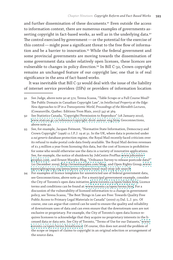and further dissemination of these documents.<sup>91</sup> Even outside the access to information context, there are numerous examples of governments asserting copyright in fact-based works, as well as in the underlying data.<sup>92</sup> The control exercised by government—or the potential for the exercise of this control—might pose a significant threat to the free flow of information and be a barrier to innovation.<sup>93</sup> While the federal government and some provincial governments are moving towards the dissemination of some government data under relatively open licenses, these licences are vulnerable to changes in policy direction.<sup>94</sup> In Bill C-32, Crown copyright remains an unchanged feature of our copyright law; one that is of real significance in the area of fact-based works.

It was inevitable that Bill C-32 would deal with the issue of the liability of internet service providers (ISPs) or providers of information location

- 93 See, for example, Jacques Frémont, "Normative State Information, Democracy and Crown Copyright" (1996) 11 I.P.J. 19 at 31. In the UK, where data is protected under a *sui generis* database protection regime, the Royal Mail recently faced criticism over its refusal to make postal code data freely available. The Royal Mail derives revenues of £1.3 million a year from licensing this data, but the cost of licences is prohibitive for some who would otherwise use the data in a variety of innovative applications. See, for example, the notice of shutdown by JobCentre ProPlus: [www.jobcentre](http://www.jobcentreproplus.com/)[proplus.com.](http://www.jobcentreproplus.com/), and Ernest Marples Blog, "Ordnance Survey to release postcode data?" (10 December 2009), [http://ernestmarples.com/blog](http://ernestmarples.com/blog/).; and Open Rights Group, [www.](http://www.openrightsgroup.org/press/press-releases/royal-mail-stop-job-search) [openrightsgroup.org/press/press-releases/royal-mail-stop-job-search.](http://www.openrightsgroup.org/press/press-releases/royal-mail-stop-job-search)
- 94 For examples of licence templates for unrestricted use of federal government data, see Geoconnections, above note 42. For a municipal government example, consider the City of Toronto's open data initiative, [www.toronto.ca/open/index.htm](http://www.toronto.ca/open/index.htm). Licence terms and conditions can be found at: [www.toronto.ca/open/terms.htm](http://www.toronto.ca/open/terms.htm). For a discussion of the vulnerability of licensed information to a change in government policy, see Teresa Scassa, "The Best Things in Law are Free: Towards Quality Free Public Access to Primary Legal Materials in Canada" (2000) 23 Dal. L.J. 301. Of course, one can argue that control can be used to ensure the quality and reliability of downstream uses of data and can even ensure that the downstream uses are not exclusive or proprietary. For example, the City of Toronto's open data licence requires licensees to acknowledge that they acquire no proprietary interests in the licensed data or data sets. See City of Toronto, "Terms of Use for our Datasets," [www.](http://www.toronto.ca/open/terms.htm%23licence) [toronto.ca/open/terms.htm#licence.](http://www.toronto.ca/open/terms.htm%23licence) Of course, this does not avoid the problem of the scope or impact of claims to copyright in an original selection or arrangement of the source data.

<sup>91</sup> See Judge, above note 90 at 572; Teresa Scassa, "Table Scraps or a Full Course Meal? The Public Domain in Canadian Copyright Law", in *Intellectual Property at the Edge: New Approaches to IP in a Transsystemic World, Proceedings of the Meredith Lectures*, (Cowansville, Québec: Editions Yvon Blais, 2007) 347 at 369.

<sup>92</sup> See Statistics Canada, "Copyright/Permission to Reproduce" (18 January 2010), [www.statcan.gc.ca/reference/copyright-droit-auteur-eng.htm;](http://www.statcan.gc.ca/reference/copyright-droit-auteur-eng.htm) Geoconnections, above note 42.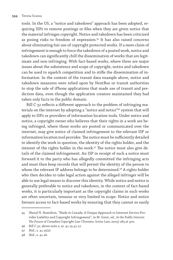tools. In the US, a "notice and takedown" approach has been adopted, requiring ISPs to remove postings or files when they are given notice that the material infringes copyright. Notice and takedown has been criticized as posing risks to freedom of expression.<sup>95</sup> It has also raised concerns about eliminating fair use of copyright protected works. If a mere claim of infringement is enough to force the takedown of a posted work, notice and takedown can significantly chill the dissemination of works that are legitimate and non-infringing. With fact-based works, where there are major issues about the subsistence and scope of copyright, notice and takedown can be used to squelch competition and to stifle the dissemination of information. In the context of the transit data example above, notice and takedown measures were relied upon by NextBus or transit authorities to stop the sale of iPhone applications that made use of transit and prediction data, even though the application creators maintained they had taken only facts in the public domain.

Bill C-32 reflects a different approach to the problem of infringing materials on the internet by adopting a "notice and notice"<sup>96</sup> system that will apply to ISPs or providers of information location tools. Under notice and notice, a copyright owner who believes that their rights in a work are being infringed, where those works are posted or communicated over the internet, may give notice of claimed infringement to the relevant ISP or information location tool provider. The notice must be sufficiently detailed to identify the work in question, the identity of the rights holder, and the interest of the rights holder in the work.<sup>97</sup> The notice must also give details of the claimed infringement. An ISP in receipt of such a notice must forward it to the party who has allegedly committed the infringing acts and must then keep records that will permit the identity of the person to whom the relevant IP address belongs to be determined.<sup>98</sup> A rights holder who then decides to take legal action against the alleged infringer will be able to use legal means to discover this identity. While notice and notice is generally preferable to notice and takedown, in the context of fact-based works, it is particularly important as the copyright claims in such works are often uncertain, tenuous or very limited in scope. Notice and notice favours access to fact-based works by ensuring that they cannot so easily

<sup>95</sup> Sheryl N. Hamilton, "Made in Canada: A Unique Approach to Internet Service Provider Liability and Copyright Infringement", in M. Geist, ed., *In the Public Interest: The Future of Canadian Copyright Law* (Toronto: Irwin Law, 2005) 285 at 300.

<sup>96</sup> *Bill C-32*, above note 2, ss. 41.25-41.27.

<sup>97</sup> *Ibid*., s. 41.25(2).

<sup>98</sup> *Ibid*., s. 41.26.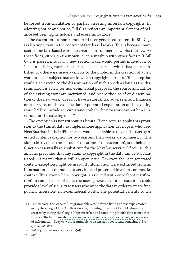be forced from circulation by parties asserting uncertain copyrights. By adopting notice and notice, Bill C-32 reflects an important element of balance between rights holders and users/innovators.

The exception for non-commercial user-generated content in Bill C-32 is also important in the context of fact-based works. This is because many users mine fact-based works to create non-commercial works that rework these facts, either on their own, or in a mashup with other facts.<sup>99</sup> If Bill C-32 is passed into law, a new section 29.21 would permit individuals to "use an existing work or other subject-matter . . . which has been published or otherwise made available to the public, in the creation of a new work or other subject-matter in which copyright subsists." The exception would also extend to the dissemination of such a work as long as the dissemination is solely for non-commercial purposes, the source and author of the existing work are mentioned, and where the use of or dissemination of the new work "does not have a substantial adverse effect, financial or otherwise, on the exploitation or potential exploitation of the existing work."100 This includes circumstances where the new work cannot be a substitute for the existing one.<sup>101</sup>

The exception is not without its limits. If one were to apply this provision to the transit data example, iPhone application developers who used NextBus data in their iPhone apps would be unable to rely on the user-generated content exception for two reasons: their works are commercial (this alone clearly takes the use out of the scope of the exception); and their apps function essentially as a substitute for the NextBus service. Of course, this analysis presumes that any claim to copyright in the data can be substantiated—a matter that is still an open issue. However, the user-generated content exception might be useful if information were extracted from an information-based product or service, and presented in a non-commercial context. Thus, even where copyright is asserted (with or without justification) in compilations of data, the user-generated content exception could provide a level of security to users who mine the data in order to create free, publicly accessible, non-commercial works. The potential benefits to the

<sup>99</sup> To illustrate, the website "ProgrammableWeb" offers a listing of mashups created using the Google Maps Application Programming Interface (API). Mashups are created by taking the Google Maps interface and combining it with data from other sources. The list of mashups is enormous and represents an extremely wide variety of information. See [www.programmableweb.com/api/google-maps/mashups](http://www.programmableweb.com/api/google-maps/mashups) [*Programmable Web*].

<sup>100</sup> *Bill C-32*, above note 2, s. 29.21(1)(d).

<sup>101</sup> *Ibid*.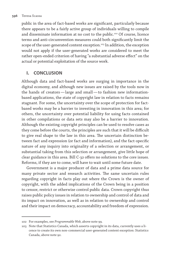public in the area of fact-based works are significant, particularly because there appears to be a fairly active group of individuals willing to compile and disseminate information at no cost to the public.<sup>102</sup> Of course, licence terms and anti-circumvention measures could both significantly limit the scope of the user-generated content exception.<sup>103</sup> In addition, the exception would not apply if the user-generated works are considered to meet the rather open-ended criterion of having "a substantial adverse effect" on the actual or potential exploitation of the source work.

#### **I. CONCLUSION**

Although data and fact-based works are surging in importance in the digital economy, and although new issues are raised by the tools now in the hands of creators—large and small—to fashion new informationbased applications, the state of copyright law in relation to facts remains stagnant. For some, the uncertainty over the scope of protection for factbased works may be a barrier to investing in innovation in this area; for others, the uncertainty over potential liability for using facts contained in other compilations or data sets may also be a barrier to innovation. Although the existing copyright principles can be used to resolve cases as they come before the courts, the principles are such that it will be difficult to give real shape to the law in this area. The uncertain distinction between fact and expression (or fact and information), and the fact-specific nature of any inquiry into originality of a selection or arrangement, or substantial taking from this selection or arrangement, give little hope of clear guidance in this area. Bill C-32 offers no solutions to the core issues. Reforms, if they are to come, will have to wait until some future date.

Government is a major producer of data and a prime data source for many private sector and research activities. The same uncertain rules regarding copyright in facts play out where the Crown is the owner of copyright, with the added implications of the Crown being in a position to censor, restrict or otherwise control public data. Crown copyright thus raises public policy issues in relation to ownership and control of data and its impact on innovation, as well as in relation to ownership and control and their impact on democracy, accountability and freedom of expression.

<sup>102</sup> For examples, see *Programmable Web*, above note 99.

<sup>103</sup> Note that Statistics Canada, which asserts copyright in its data, currently uses a licence to create its own non-commercial user-generated content exception: Statistics Canada, above note 92.